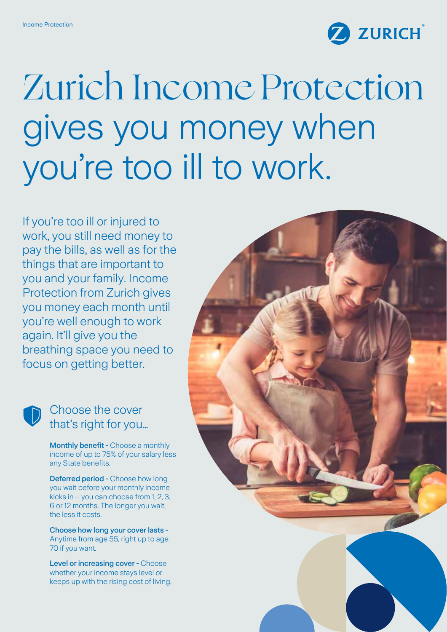

# Zurich Income Protection gives you money when you're too ill to work.

If you're too ill or injured to work, you still need money to pay the bills, as well as for the things that are important to you and your family. Income Protection from Zurich gives you money each month until you're well enough to work again. It'll give you the breathing space you need to focus on getting better.

## Choose the cover that's right for you…

Monthly benefit - Choose a monthly income of up to 75% of your salary less any State benefits.

Deferred period - Choose how long you wait before your monthly income kicks in – you can choose from 1, 2, 3, 6 or 12 months. The longer you wait, the less it costs.

Choose how long your cover lasts - Anytime from age 55, right up to age 70 if you want.

Level or increasing cover - Choose whether your income stays level or keeps up with the rising cost of living.